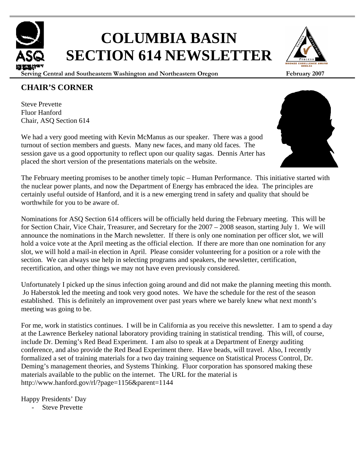# **COLUMBIA BASIN SECTION 614 NEWSLETTER**

**Serving Central and Southeastern Washington and Northeastern Oregon February 2007**

### **CHAIR'S CORNER**

Steve Prevette Fluor Hanford Chair, ASQ Section 614

We had a very good meeting with Kevin McManus as our speaker. There was a good turnout of section members and guests. Many new faces, and many old faces. The session gave us a good opportunity to reflect upon our quality sagas. Dennis Arter has placed the short version of the presentations materials on the website.

The February meeting promises to be another timely topic – Human Performance. This initiative started with the nuclear power plants, and now the Department of Energy has embraced the idea. The principles are certainly useful outside of Hanford, and it is a new emerging trend in safety and quality that should be worthwhile for you to be aware of.

Nominations for ASQ Section 614 officers will be officially held during the February meeting. This will be for Section Chair, Vice Chair, Treasurer, and Secretary for the 2007 – 2008 season, starting July 1. We will announce the nominations in the March newsletter. If there is only one nomination per officer slot, we will hold a voice vote at the April meeting as the official election. If there are more than one nomination for any slot, we will hold a mail-in election in April. Please consider volunteering for a position or a role with the section. We can always use help in selecting programs and speakers, the newsletter, certification, recertification, and other things we may not have even previously considered.

Unfortunately I picked up the sinus infection going around and did not make the planning meeting this month. Jo Haberstok led the meeting and took very good notes. We have the schedule for the rest of the season established. This is definitely an improvement over past years where we barely knew what next month's meeting was going to be.

For me, work in statistics continues. I will be in California as you receive this newsletter. I am to spend a day at the Lawrence Berkeley national laboratory providing training in statistical trending. This will, of course, include Dr. Deming's Red Bead Experiment. I am also to speak at a Department of Energy auditing conference, and also provide the Red Bead Experiment there. Have beads, will travel. Also, I recently formalized a set of training materials for a two day training sequence on Statistical Process Control, Dr. Deming's management theories, and Systems Thinking. Fluor corporation has sponsored making these materials available to the public on the internet. The URL for the material is http://www.hanford.gov/rl/?page=1156&parent=1144

Happy Presidents' Day

Steve Prevette





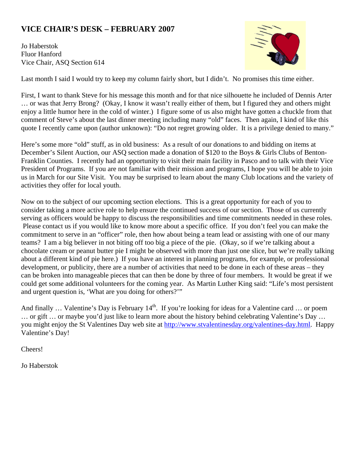# **VICE CHAIR'S DESK – FEBRUARY 2007**

Jo Haberstok Fluor Hanford Vice Chair, ASQ Section 614



Last month I said I would try to keep my column fairly short, but I didn't. No promises this time either.

First, I want to thank Steve for his message this month and for that nice silhouette he included of Dennis Arter … or was that Jerry Brong? (Okay, I know it wasn't really either of them, but I figured they and others might enjoy a little humor here in the cold of winter.) I figure some of us also might have gotten a chuckle from that comment of Steve's about the last dinner meeting including many "old" faces. Then again, I kind of like this quote I recently came upon (author unknown): "Do not regret growing older. It is a privilege denied to many."

Here's some more "old" stuff, as in old business: As a result of our donations to and bidding on items at December's Silent Auction, our ASQ section made a donation of \$120 to the Boys & Girls Clubs of Benton-Franklin Counties. I recently had an opportunity to visit their main facility in Pasco and to talk with their Vice President of Programs. If you are not familiar with their mission and programs, I hope you will be able to join us in March for our Site Visit. You may be surprised to learn about the many Club locations and the variety of activities they offer for local youth.

Now on to the subject of our upcoming section elections. This is a great opportunity for each of you to consider taking a more active role to help ensure the continued success of our section. Those of us currently serving as officers would be happy to discuss the responsibilities and time commitments needed in these roles. Please contact us if you would like to know more about a specific office. If you don't feel you can make the commitment to serve in an "officer" role, then how about being a team lead or assisting with one of our many teams? I am a big believer in not biting off too big a piece of the pie. (Okay, so if we're talking about a chocolate cream or peanut butter pie I might be observed with more than just one slice, but we're really talking about a different kind of pie here.) If you have an interest in planning programs, for example, or professional development, or publicity, there are a number of activities that need to be done in each of these areas – they can be broken into manageable pieces that can then be done by three of four members. It would be great if we could get some additional volunteers for the coming year. As Martin Luther King said: "Life's most persistent and urgent question is, 'What are you doing for others?'"

And finally ... Valentine's Day is February 14<sup>th</sup>. If you're looking for ideas for a Valentine card ... or poem … or gift … or maybe you'd just like to learn more about the history behind celebrating Valentine's Day … you might enjoy the St Valentines Day web site at http://www.stvalentinesday.org/valentines-day.html. Happy Valentine's Day!

Cheers!

Jo Haberstok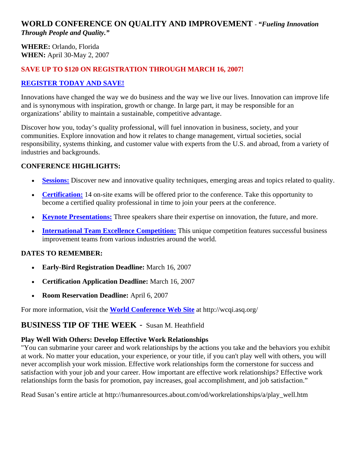## **WORLD CONFERENCE ON QUALITY AND IMPROVEMENT** - *"Fueling Innovation Through People and Quality."*

**WHERE:** Orlando, Florida **WHEN:** April 30-May 2, 2007

### **SAVE UP TO \$120 ON REGISTRATION THROUGH MARCH 16, 2007!**

### **REGISTER TODAY AND SAVE!**

Innovations have changed the way we do business and the way we live our lives. Innovation can improve life and is synonymous with inspiration, growth or change. In large part, it may be responsible for an organizations' ability to maintain a sustainable, competitive advantage.

Discover how you, today's quality professional, will fuel innovation in business, society, and your communities. Explore innovation and how it relates to change management, virtual societies, social responsibility, systems thinking, and customer value with experts from the U.S. and abroad, from a variety of industries and backgrounds.

### **CONFERENCE HIGHLIGHTS:**

- **Sessions:** Discover new and innovative quality techniques, emerging areas and topics related to quality.
- **Certification:** 14 on-site exams will be offered prior to the conference. Take this opportunity to become a certified quality professional in time to join your peers at the conference.
- **Keynote Presentations:** Three speakers share their expertise on innovation, the future, and more.
- **International Team Excellence Competition:** This unique competition features successful business improvement teams from various industries around the world.

### **DATES TO REMEMBER:**

- **Early-Bird Registration Deadline:** March 16, 2007
- **Certification Application Deadline:** March 16, 2007
- **Room Reservation Deadline:** April 6, 2007

For more information, visit the **World Conference Web Site** at http://wcqi.asq.org/

### **BUSINESS TIP OF THE WEEK** - Susan M. Heathfield

### **Play Well With Others: Develop Effective Work Relationships**

"You can submarine your career and work relationships by the actions you take and the behaviors you exhibit at work. No matter your education, your experience, or your title, if you can't play well with others, you will never accomplish your work mission. Effective work relationships form the cornerstone for success and satisfaction with your job and your career. How important are effective work relationships? Effective work relationships form the basis for promotion, pay increases, goal accomplishment, and job satisfaction."

Read Susan's entire article at http://humanresources.about.com/od/workrelationships/a/play\_well.htm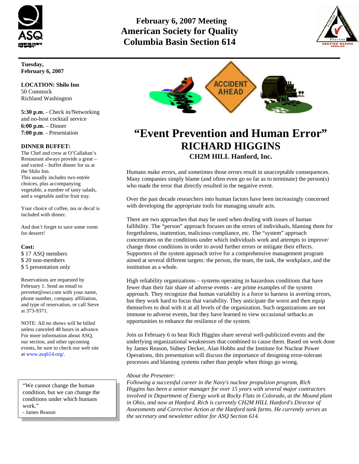

# **February 6, 2007 Meeting American Society for Quality Columbia Basin Section 614**



**Tuesday, February 6, 2007** 

**LOCATION: Shilo Inn**  50 Comstock Richland Washington

**5:30 p.m.** - Check in/Networking and no-host cocktail service **6:00 p.m.** – Dinner **7:00 p.m**. - Presentation

#### **DINNER BUFFET:**

The Chef and crew at O'Callahan's Restaurant always provide a great – and varied – buffet dinner for us at the Shilo Inn. This usually includes two entrée choices, plus accompanying vegetable, a number of tasty salads, and a vegetable and/or fruit tray.

Your choice of coffee, tea or decaf is included with dinner.

And don't forget to save some room for dessert!

#### **Cost:**

\$ 17 ASQ members \$ 20 non-members \$ 5 presentation only

Reservations are requested by February 1. Send an email to prevette@owt.com with your name, phone number, company affiliation, and type of reservation, or call Steve at 373-9371.

NOTE: All no shows will be billed unless canceled 48 hours in advance. For more information about ASQ, our section, and other upcoming events, be sure to check our web site at www.asq614.org/.

"We cannot change the human condition, but we can change the conditions under which humans work."

- James Reason



# **"Event Prevention and Human Error" RICHARD HIGGINS CH2M HILL Hanford, Inc.**

Humans make errors, and sometimes those errors result in unacceptable consequences. Many companies simply blame (and often even go so far as to terminate) the person(s) who made the error that directly resulted in the negative event.

Over the past decade researchers into human factors have been increasingly concerned with developing the appropriate tools for managing unsafe acts.

There are two approaches that may be used when dealing with issues of human fallibility. The "person" approach focuses on the errors of individuals, blaming them for forgetfulness, inattention, malicious compliance, etc. The "system" approach concentrates on the conditions under which individuals work and attempts to improve/ change those conditions in order to avoid further errors or mitigate their effects. Supporters of the system approach strive for a comprehensive management program aimed at several different targets: the person, the team, the task, the workplace, and the institution as a whole.

High reliability organizations – systems operating in hazardous conditions that have fewer than their fair share of adverse events - are prime examples of the system approach. They recognize that human variability is a force to harness in averting errors, but they work hard to focus that variability. They anticipate the worst and then equip themselves to deal with it at all levels of the organization. Such organizations are not immune to adverse events, but they have learned to view occasional setbacks as opportunities to enhance the resilience of the system.

Join us February 6 to hear Rich Higgins share several well-publicized events and the underlying organizational weaknesses that combined to cause them. Based on work done by James Reason, Sidney Decker, Alan Hobbs and the Institute for Nuclear Power Operations, this presentation will discuss the importance of designing error-tolerant processes and blaming systems rather than people when things go wrong.

#### *About the Presenter:*

*Following a successful career in the Navy's nuclear propulsion program, Rich Higgins has been a senior manager for over 15 years with several major contractors involved in Department of Energy work at Rocky Flats in Colorado, at the Mound plant in Ohio, and now at Hanford. Rich is currently CH2M HILL Hanford's Director of Assessments and Corrective Action at the Hanford tank farms. He currently serves as the secretary and newsletter editor for ASQ Section 614.*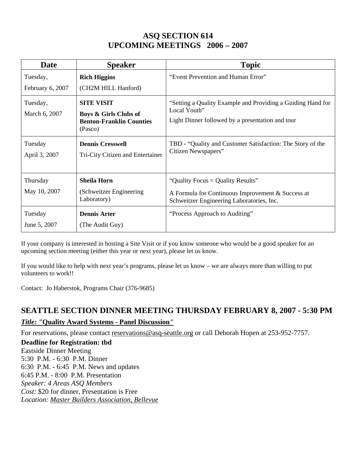# **ASQ SECTION 614 UPCOMING MEETINGS 2006 – 2007**

| Date                     | <b>Speaker</b>                                                                 | <b>Topic</b>                                                                                                                        |  |
|--------------------------|--------------------------------------------------------------------------------|-------------------------------------------------------------------------------------------------------------------------------------|--|
| Tuesday,                 | <b>Rich Higgins</b>                                                            | "Event Prevention and Human Error"                                                                                                  |  |
| February 6, 2007         | (CH2M HILL Hanford)                                                            |                                                                                                                                     |  |
| Tuesday,                 | <b>SITE VISIT</b>                                                              | "Setting a Quality Example and Providing a Guiding Hand for<br>Local Youth"<br>Light Dinner followed by a presentation and tour     |  |
| March 6, 2007            | <b>Boys &amp; Girls Clubs of</b><br><b>Benton-Franklin Counties</b><br>(Pasco) |                                                                                                                                     |  |
| Tuesday<br>April 3, 2007 | <b>Dennis Cresswell</b><br>Tri-City Citizen and Entertainer                    | TBD - "Quality and Customer Satisfaction: The Story of the<br>Citizen Newspapers"                                                   |  |
| Thursday                 | <b>Sheila Horn</b>                                                             | "Quality Focus = Quality Results"<br>A Formula for Continuous Improvement & Success at<br>Schweitzer Engineering Laboratories, Inc. |  |
| May 10, 2007             | (Schweitzer Engineering<br>Laboratory)                                         |                                                                                                                                     |  |
| Tuesday                  | <b>Dennis Arter</b>                                                            | "Process Approach to Auditing"                                                                                                      |  |
| June 5, 2007             | (The Audit Guy)                                                                |                                                                                                                                     |  |

If your company is interested in hosting a Site Visit or if you know someone who would be a good speaker for an upcoming section meeting (either this year or next year), please let us know.

If you would like to help with next year's programs, please let us know – we are always more than willing to put volunteers to work!!

Contact: Jo Haberstok, Programs Chair (376-9685)

# **SEATTLE SECTION DINNER MEETING THURSDAY FEBRUARY 8, 2007 - 5:30 PM** *Title: "***Quality Award Systems - Panel Discussion***"*

For reservations, please contact reservations@asq-seattle.org or call Deborah Hopen at 253-952-7757.

### **Deadline for Registration: tbd**

Eastside Dinner Meeting 5:30 P.M. - 6:30 P.M. Dinner 6:30 P.M. - 6:45 P.M. News and updates 6:45 P.M. - 8:00 P.M. Presentation *Speaker: 4 Areas ASQ Members Cost:* \$20 for dinner, Presentation is Free *Location: Master Builders Association, Bellevue*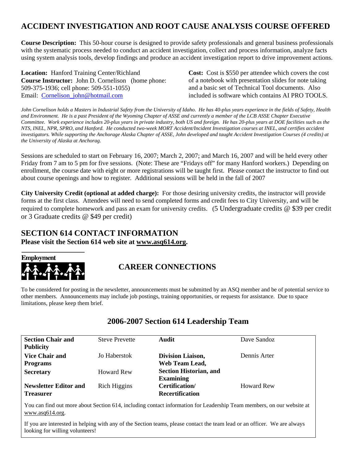# **ACCIDENT INVESTIGATION AND ROOT CAUSE ANALYSIS COURSE OFFERED**

**Course Description:** This 50-hour course is designed to provide safety professionals and general business professionals with the systematic process needed to conduct an accident investigation, collect and process information, analyze facts using system analysis tools, develop findings and produce an accident investigation report to drive improvement actions.

**Location:** Hanford Training Center/Richland **Course Instructor:** John D. Cornelison (home phone: 509-375-1936; cell phone: 509-551-1055) Email: Cornelison\_john@hotmail.com

**Cost:** Cost is \$550 per attendee which covers the cost of a notebook with presentation slides for note taking and a basic set of Technical Tool documents. Also included is software which contains AI PRO TOOLS.

*John Cornelison holds a Masters in Industrial Safety from the University of Idaho. He has 40-plus years experience in the fields of Safety, Health and Environment. He is a past President of the Wyoming Chapter of ASSE and currently a member of the LCB ASSE Chapter Executive Committee. Work experience includes 20-plus years in private industry, both US and foreign. He has 20-plus years at DOE facilities such as the NTS, INEL, NPR, SPRO, and Hanford. He conducted two-week MORT Accident/Incident Investigation courses at INEL, and certifies accident investigators. While supporting the Anchorage Alaska Chapter of ASSE, John developed and taught Accident Investigation Courses (4 credits) at the University of Alaska at Anchorag.* 

Sessions are scheduled to start on February 16, 2007; March 2, 2007; and March 16, 2007 and will be held every other Friday from 7 am to 5 pm for five sessions. (Note: These are "Fridays off" for many Hanford workers.) Depending on enrollment, the course date with eight or more registrations will be taught first. Please contact the instructor to find out about course openings and how to register. Additional sessions will be held in the fall of 2007

**City University Credit (optional at added charge):** For those desiring university credits, the instructor will provide forms at the first class. Attendees will need to send completed forms and credit fees to City University, and will be required to complete homework and pass an exam for university credits. (5 Undergraduate credits @ \$39 per credit or 3 Graduate credits @ \$49 per credit)

### **SECTION 614 CONTACT INFORMATION Please visit the Section 614 web site at www.asq614.org.**



## **CAREER CONNECTIONS**

To be considered for posting in the newsletter, announcements must be submitted by an ASQ member and be of potential service to other members. Announcements may include job postings, training opportunities, or requests for assistance. Due to space limitations, please keep them brief.

| <b>Section Chair and</b>     | <b>Steve Prevette</b> | Audit                         | Dave Sandoz       |
|------------------------------|-----------------------|-------------------------------|-------------------|
| <b>Publicity</b>             |                       |                               |                   |
| <b>Vice Chair and</b>        | Jo Haberstok          | Division Liaison,             | Dennis Arter      |
| <b>Programs</b>              |                       | Web Team Lead,                |                   |
| <b>Secretary</b>             | <b>Howard Rew</b>     | <b>Section Historian, and</b> |                   |
|                              |                       | <b>Examining</b>              |                   |
| <b>Newsletter Editor and</b> | Rich Higgins          | Certification/                | <b>Howard Rew</b> |
| <b>Treasurer</b>             |                       | <b>Recertification</b>        |                   |

### **2006-2007 Section 614 Leadership Team**

You can find out more about Section 614, including contact information for Leadership Team members, on our website at www.asq614.org.

If you are interested in helping with any of the Section teams, please contact the team lead or an officer. We are always looking for willing volunteers!